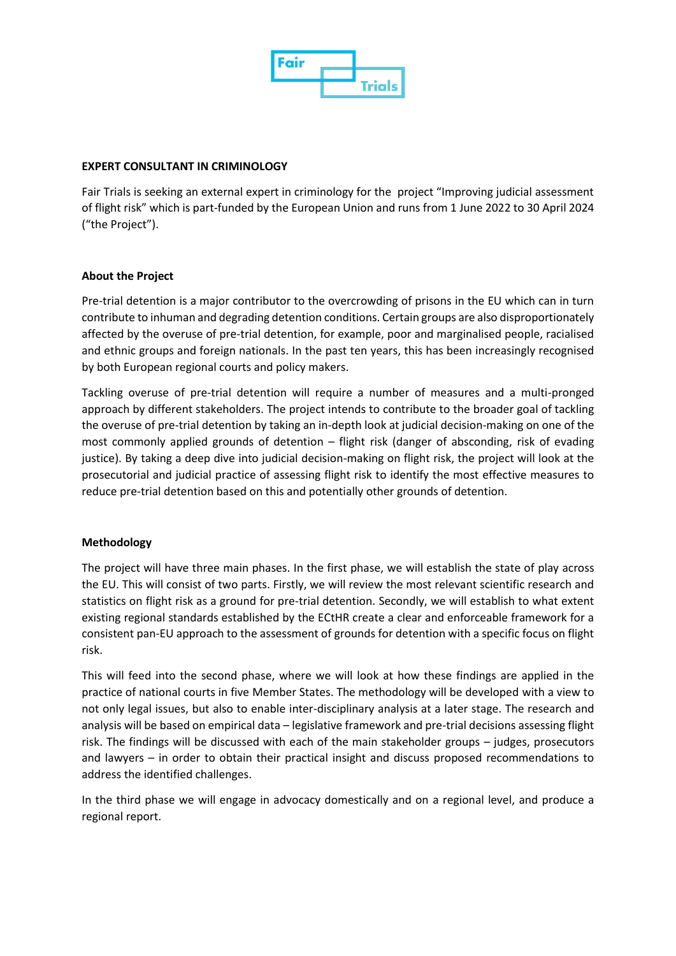

## **EXPERT CONSULTANT IN CRIMINOLOGY**

Fair Trials is seeking an external expert in criminology for the project "Improving judicial assessment of flight risk" which is part-funded by the European Union and runs from 1 June 2022 to 30 April 2024 ("the Project").

# **About the Project**

Pre-trial detention is a major contributor to the overcrowding of prisons in the EU which can in turn contribute to inhuman and degrading detention conditions. Certain groups are also disproportionately affected by the overuse of pre-trial detention, for example, poor and marginalised people, racialised and ethnic groups and foreign nationals. In the past ten years, this has been increasingly recognised by both European regional courts and policy makers.

Tackling overuse of pre-trial detention will require a number of measures and a multi-pronged approach by different stakeholders. The project intends to contribute to the broader goal of tackling the overuse of pre-trial detention by taking an in-depth look at judicial decision-making on one of the most commonly applied grounds of detention – flight risk (danger of absconding, risk of evading justice). By taking a deep dive into judicial decision-making on flight risk, the project will look at the prosecutorial and judicial practice of assessing flight risk to identify the most effective measures to reduce pre-trial detention based on this and potentially other grounds of detention.

### **Methodology**

The project will have three main phases. In the first phase, we will establish the state of play across the EU. This will consist of two parts. Firstly, we will review the most relevant scientific research and statistics on flight risk as a ground for pre-trial detention. Secondly, we will establish to what extent existing regional standards established by the ECtHR create a clear and enforceable framework for a consistent pan-EU approach to the assessment of grounds for detention with a specific focus on flight risk.

This will feed into the second phase, where we will look at how these findings are applied in the practice of national courts in five Member States. The methodology will be developed with a view to not only legal issues, but also to enable inter-disciplinary analysis at a later stage. The research and analysis will be based on empirical data – legislative framework and pre-trial decisions assessing flight risk. The findings will be discussed with each of the main stakeholder groups – judges, prosecutors and lawyers – in order to obtain their practical insight and discuss proposed recommendations to address the identified challenges.

In the third phase we will engage in advocacy domestically and on a regional level, and produce a regional report.